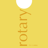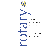

*1.2 million business and* 

*More than 165 countries.* 

*Providing humanitarian* 

*service. Building goodwill* 

*and peace in the world.*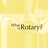# What Rotary?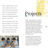*Rotary is a global network of community volunteers. Rotary members are business and professional leaders who provide humanitarian service, encourage high ethical standards, and help build goodwill and peace in the world.* 

*Some 31,000 Rotary clubs in more than 165 countries carry out service projects in their local communities and abroad to address such critical issues as poverty, health, hunger, illiteracy, and the environment.*



### Projects

Rotary clubs participate in a broad range of humanitarian, intercultural, and educational activities designed to improve the human condition. Rotary's humanitarian grants support club projects that provide health care and medical supplies, clean water, food, job training, youth development, and education to millions of people in need — particularly in the developing world.

In addition, Rotary provides more than 200 grants each year to fund the work of Rotary volunteers, who travel to parts of the world where their technical expertise and knowledge are most needed to alleviate hardship and solve problems.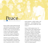# Peace

Rotary builds understanding through international scholarships, exchange programs, and humanitarian grants. In 2002, Rotary launched the Rotary Centers for International Studies in peace and conflict resolution, an innovative program designed to educate tomorrow's peacemakers.

Hosted at seven leading universities around the globe, the program funds 70 World Peace Scholars each year for graduate studies in interna-

tional relations, conflict studies, and negotiation — providing promising leaders the tools to further the cause of peace.

Some 35,000 students from 110 countries have also studied abroad since 1947 as Rotary Ambassadorial Scholars. Rotary's Group Study Exchange has helped more than 45,000 young professionals explore their career fields in other countries. And, each year some 8,000 secondary-school students experience life in another country through Rotary's Youth Exchange program.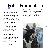# Polio Eradication

In 1985, Rotary launched PolioPlus, an ambitious program to immunize the world's children against polio. Rotary's grassroots leadership, volunteer support, and initial funding for vaccine provided the catalyst for the World Health Assembly's resolution in 1988 to eradicate polio worldwide. Spearheading partners of the Global Polio Eradication Initiative are the World Health Organization, Rotary International, U.S. Centers for Disease Control and Prevention, and UNICEF.

As a result of this partnership's efforts, polio cases have dropped by 99 percent since 1988, and the world stands on the threshold of eradicating the disease. Rotary members have given more than half-a-billion U.S. dollars and countless hands-on volunteer hours to this critical effort.

The savings to be realized from polio eradication are potentially as high as US\$1.5 billion per year — funds that could be used to address other public health priorities. The savings in human suffering will be immeasurable.

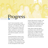### Progress

Paul P. Harris formed the world's first service club, the Rotary Club of Chicago, on 23 February 1905. The Rotary motto is Service Above Self and, as it celebrates its centennial, Rotary continues to concern itself with truth, fairness, improved relations between peoples, and world peace.

During World War II, Rotary members increasingly became involved in promoting international understanding. A Rotary conference held in London in 1942 planted the seeds for the development of the United

Nations Educational, Scientific, and Cultural Organization (UNESCO), and some 50 Rotary members served as delegates and consultants at the founding of the United Nations.

Today, Rotary holds the highest consultative status with the United Nations that a nongovernmental organization can obtain. In this capacity, Rotary has a voice within the UN system allowing access to its people and resources worldwide.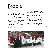# People

Belonging to a Rotary club gives men and women an enjoyable and organized way to make a contribution to their community. Rotary members meet weekly to plan club, community, and international service activities. By using their skills and expertise globally, members also enhance their professional network, career development, and cross-cultural understanding.

Rotary clubs are nonreligious, nongovernmental, and open to every race, culture, and creed. Members represent a cross section of local business and professional leaders.

To learn more about a Rotary club in your community, please visit the information for prospective members section of the Rotary International Web site at www.rotary.org or contact your local club.

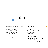## **Contact**

### **Rotary International World Headquarters**

One Rotary Center 1560 Sherman Avenue Evanston, IL 60201-3698 USA Telephone: (847) 866-3000 Fax: (847) 328-8554 or (847) 328-8281

**www.rotary.org**

### **Rotary International Offices**

Buenos Aires, Argentina New Delhi, India Parramatta, NSW, Australia São Paulo, Brazil Seoul, Korea Tokyo, Japan Zurich, Switzerland

Rotary International in Great Britain and Ireland (RIBI) Alcester, Warwickshire, England